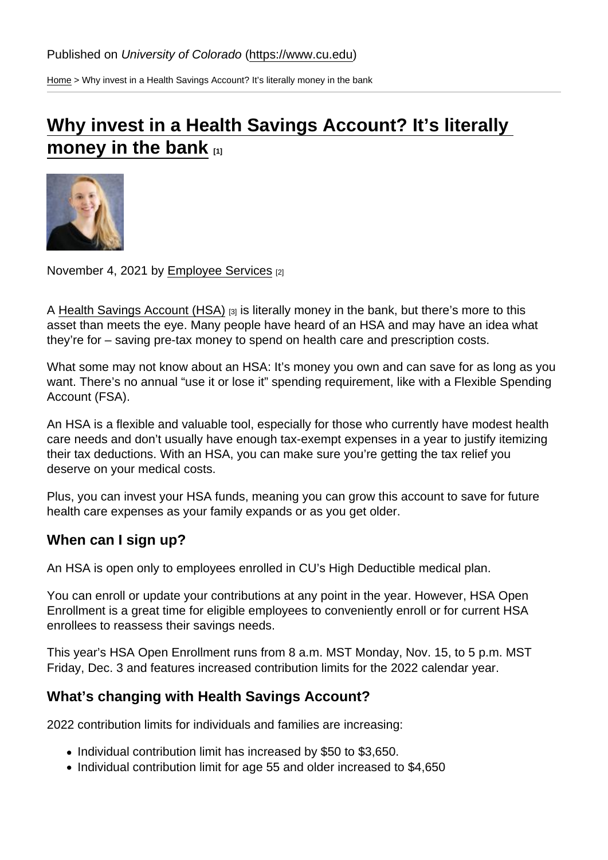[Home](https://www.cu.edu/) > Why invest in a Health Savings Account? It's literally money in the bank

## Why invest in a Health Savings Account? It's literally [money in the bank](https://www.cu.edu/blog/work-life/why-invest-health-savings-account-it’s-literally-money-bank)  $_{[1]}$

November 4, 2021 by [Employee Services](https://www.cu.edu/blog/work-life/author/34887) [2]

A [Health Savings Account \(HSA\)](https://www.cu.edu/employee-services/benefits-wellness/current-employee/hsa-fsa/health-savings-account) [3] is literally money in the bank, but there's more to this asset than meets the eye. Many people have heard of an HSA and may have an idea what they're for – saving pre-tax money to spend on health care and prescription costs.

What some may not know about an HSA: It's money you own and can save for as long as you want. There's no annual "use it or lose it" spending requirement, like with a Flexible Spending Account (FSA).

An HSA is a flexible and valuable tool, especially for those who currently have modest health care needs and don't usually have enough tax-exempt expenses in a year to justify itemizing their tax deductions. With an HSA, you can make sure you're getting the tax relief you deserve on your medical costs.

Plus, you can invest your HSA funds, meaning you can grow this account to save for future health care expenses as your family expands or as you get older.

When can I sign up?

An HSA is open only to employees enrolled in CU's High Deductible medical plan.

You can enroll or update your contributions at any point in the year. However, HSA Open Enrollment is a great time for eligible employees to conveniently enroll or for current HSA enrollees to reassess their savings needs.

This year's HSA Open Enrollment runs from 8 a.m. MST Monday, Nov. 15, to 5 p.m. MST Friday, Dec. 3 and features increased contribution limits for the 2022 calendar year.

What's changing with Health Savings Account?

2022 contribution limits for individuals and families are increasing:

- Individual contribution limit has increased by \$50 to \$3,650.
- Individual contribution limit for age 55 and older increased to \$4,650